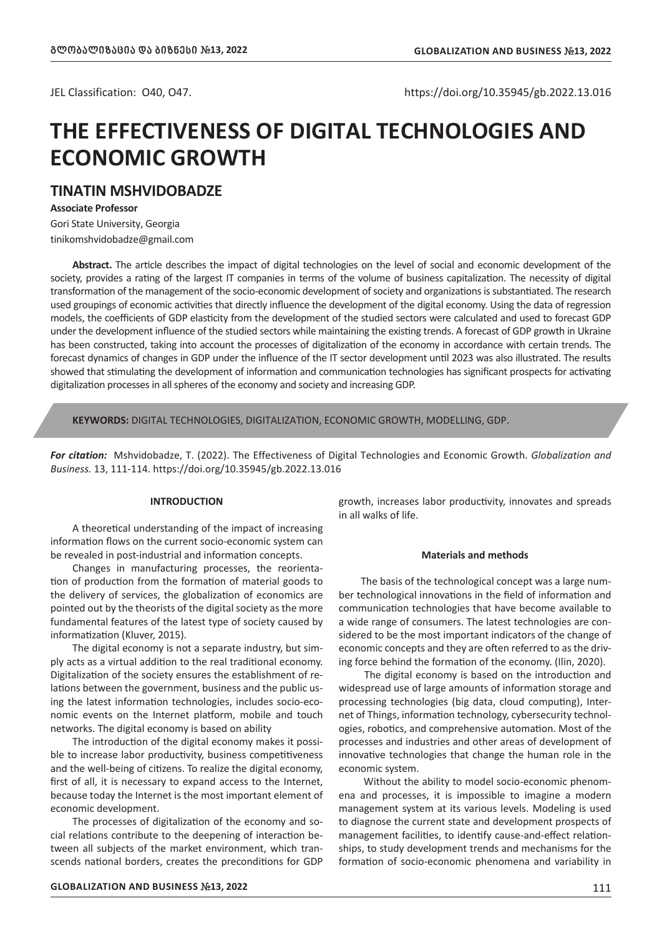JEL Classification: O40, O47. https://doi.org/10.35945/gb.2022.13.016

# **THE EFFECTIVENESS OF DIGITAL TECHNOLOGIES AND ECONOMIC GROWTH**

# **TINATIN MSHVIDOBADZE**

**Associate Professor**

Gori State University, Georgia tinikomshvidobadze@gmail.com

**Abstract.** The article describes the impact of digital technologies on the level of social and economic development of the society, provides a rating of the largest IT companies in terms of the volume of business capitalization. The necessity of digital transformation of the management of the socio-economic development of society and organizations is substantiated. The research used groupings of economic activities that directly influence the development of the digital economy. Using the data of regression models, the coefficients of GDP elasticity from the development of the studied sectors were calculated and used to forecast GDP under the development influence of the studied sectors while maintaining the existing trends. A forecast of GDP growth in Ukraine has been constructed, taking into account the processes of digitalization of the economy in accordance with certain trends. The forecast dynamics of changes in GDP under the influence of the IT sector development until 2023 was also illustrated. The results showed that stimulating the development of information and communication technologies has significant prospects for activating digitalization processes in all spheres of the economy and society and increasing GDP.

**KEYWORDS:** DIGITAL TECHNOLOGIES, DIGITALIZATION, ECONOMIC GROWTH, MODELLING, GDP.

*For citation:* Mshvidobadze, T. (2022). The Effectiveness of Digital Technologies and Economic Growth. *Globalization and Business.* 13, 111-114. https://doi.org/10.35945/gb.2022.13.016

#### **INTRODUCTION**

A theoretical understanding of the impact of increasing information flows on the current socio-economic system can be revealed in post-industrial and information concepts.

Changes in manufacturing processes, the reorientation of production from the formation of material goods to the delivery of services, the globalization of economics are pointed out by the theorists of the digital society as the more fundamental features of the latest type of society caused by informatization (Kluver, 2015).

The digital economy is not a separate industry, but simply acts as a virtual addition to the real traditional economy. Digitalization of the society ensures the establishment of relations between the government, business and the public using the latest information technologies, includes socio-economic events on the Internet platform, mobile and touch networks. The digital economy is based on ability

The introduction of the digital economy makes it possible to increase labor productivity, business competitiveness and the well-being of citizens. To realize the digital economy, first of all, it is necessary to expand access to the Internet, because today the Internet is the most important element of economic development.

The processes of digitalization of the economy and social relations contribute to the deepening of interaction between all subjects of the market environment, which transcends national borders, creates the preconditions for GDP

growth, increases labor productivity, innovates and spreads in all walks of life.

#### **Materials and methods**

The basis of the technological concept was a large number technological innovations in the field of information and communication technologies that have become available to a wide range of consumers. The latest technologies are considered to be the most important indicators of the change of economic concepts and they are often referred to as the driving force behind the formation of the economy. (Ilin, 2020).

 The digital economy is based on the introduction and widespread use of large amounts of information storage and processing technologies (big data, cloud computing), Internet of Things, information technology, cybersecurity technologies, robotics, and comprehensive automation. Most of the processes and industries and other areas of development of innovative technologies that change the human role in the economic system.

 Without the ability to model socio-economic phenomena and processes, it is impossible to imagine a modern management system at its various levels. Modeling is used to diagnose the current state and development prospects of management facilities, to identify cause-and-effect relationships, to study development trends and mechanisms for the formation of socio-economic phenomena and variability in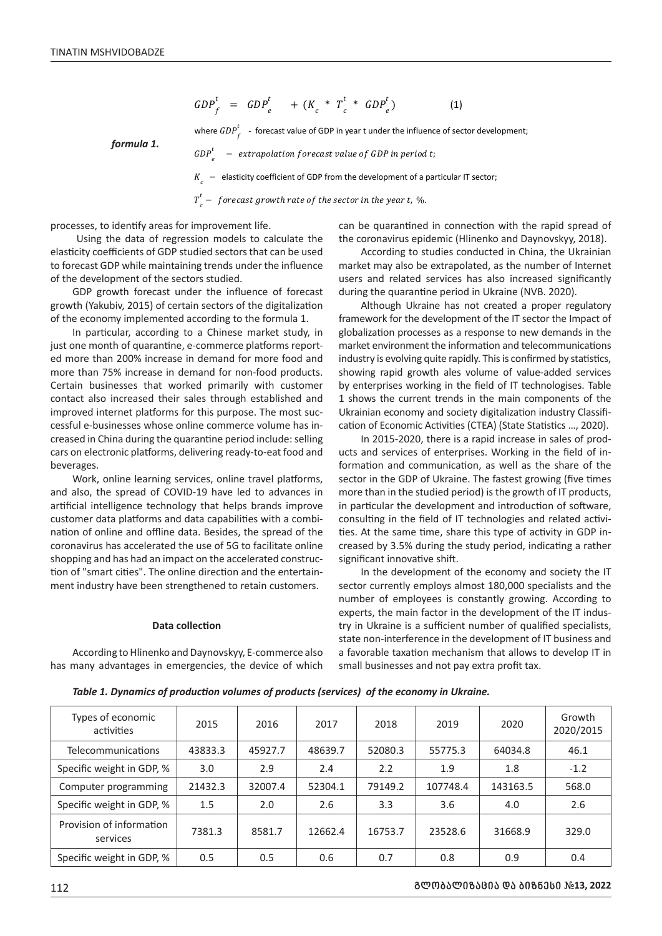$$
GDP_f^t = GDP_e^t + (K_c * T_c^t * GDP_e^t)
$$
 (1)

where  $\mathit{GDP}_f^t$  - forecast value of GDP in year t under the influence of sector development;

*formula 1.*

 $GDP<sup>t</sup>$ − extrapolation forecast value of GDP in period t;  $K_{-}$  – elasticity coefficient of GDP from the development of a particular IT sector;

 $T_c^t$  —  $\ f$ orecast growth rate of the sector in the year t, %.

processes, to identify areas for improvement life.

 Using the data of regression models to calculate the elasticity coefficients of GDP studied sectors that can be used to forecast GDP while maintaining trends under the influence of the development of the sectors studied.

GDP growth forecast under the influence of forecast growth (Yakubiv, 2015) of certain sectors of the digitalization of the economy implemented according to the formula 1.

In particular, according to a Chinese market study, in just one month of quarantine, e-commerce platforms reported more than 200% increase in demand for more food and more than 75% increase in demand for non-food products. Certain businesses that worked primarily with customer contact also increased their sales through established and improved internet platforms for this purpose. The most successful e-businesses whose online commerce volume has in-% creased in China during the quarantine period include: selling cars on electronic platforms, delivering ready-to-eat food and beverages.

Work, online learning services, online travel platforms, and also, the spread of COVID-19 have led to advances in artificial intelligence technology that helps brands improve customer data platforms and data capabilities with a combination of online and offline data. Besides, the spread of the coronavirus has accelerated the use of 5G to facilitate online shopping and has had an impact on the accelerated construcshopping and has had an impact on the accelerated construction of "smart cities". The online direction and the entertainment industry have been strengthened to retain customers. %

#### **Data collection**

According to Hlinenko and Daynovskyy, E-commerce also has many advantages in emergencies, the device of which can be quarantined in connection with the rapid spread of the coronavirus epidemic (Hlinenko and Daynovskyy, 2018).

According to studies conducted in China, the Ukrainian market may also be extrapolated, as the number of Internet users and related services has also increased significantly during the quarantine period in Ukraine (NVB. 2020).

Although Ukraine has not created a proper regulatory framework for the development of the IT sector the Impact of globalization processes as a response to new demands in the eport- market environment the information and telecommunications industry is evolving quite rapidly. This is confirmed by statistics, showing rapid growth ales volume of value-added services ed primarily with customer by enterprises working in the field of IT technologises. Table 1 shows the current trends in the main components of the uc- Ukrainian economy and society digitalization industry Classification of Economic Activities (CTEA) (State Statistics …, 2020).

> In 2015-2020, there is a rapid increase in sales of prodand services of enterprises. Working in the field of in-<br>d and ucts and services of enterprises. Working in the field of information and communication, as well as the share of the ns, sector in the GDP of Ukraine. The fastest growing (five times more than in the studied period) is the growth of IT products, in particular the development and introduction of software, consulting in the field of IT technologies and related activiof the ties. At the same time, share this type of activity in GDP increased by 3.5% during the study period, indicating a rather significant innovative shift.

In the development of the economy and society the IT sector currently employs almost 180,000 specialists and the number of employees is constantly growing. According to experts, the main factor in the development of the IT industry in Ukraine is a sufficient number of qualified specialists, state non-interference in the development of IT business and a favorable taxation mechanism that allows to develop IT in encies, the device of which small businesses and not pay extra profit tax.

| Types of economic<br>activities      | 2015    | 2016    | 2017    | 2018    | 2019     | 2020     | Growth<br>2020/2015 |
|--------------------------------------|---------|---------|---------|---------|----------|----------|---------------------|
| Telecommunications                   | 43833.3 | 45927.7 | 48639.7 | 52080.3 | 55775.3  | 64034.8  | 46.1                |
| Specific weight in GDP, %            | 3.0     | 2.9     | 2.4     | 2.2     | 1.9      | 1.8      | $-1.2$              |
| Computer programming                 | 21432.3 | 32007.4 | 52304.1 | 79149.2 | 107748.4 | 143163.5 | 568.0               |
| Specific weight in GDP, %            | 1.5     | 2.0     | 2.6     | 3.3     | 3.6      | 4.0      | 2.6                 |
| Provision of information<br>services | 7381.3  | 8581.7  | 12662.4 | 16753.7 | 23528.6  | 31668.9  | 329.0               |
| Specific weight in GDP, %            | 0.5     | 0.5     | 0.6     | 0.7     | 0.8      | 0.9      | 0.4                 |

*Table 1. Dynamics of production volumes of products (services) of the economy in Ukraine.*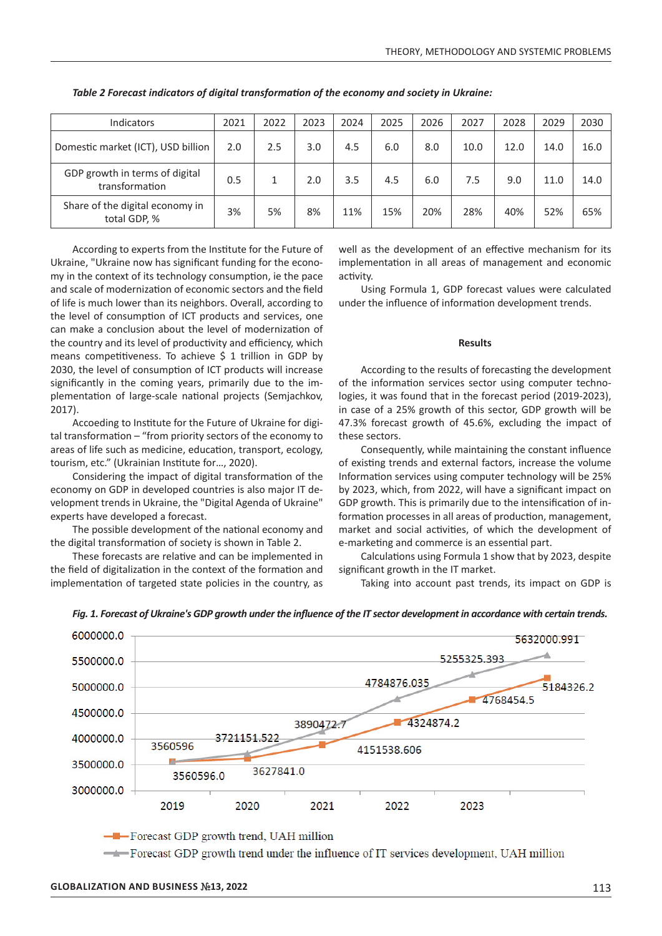| <b>Indicators</b>                                | 2021 | 2022 | 2023 | 2024 | 2025 | 2026 | 2027 | 2028 | 2029 | 2030 |
|--------------------------------------------------|------|------|------|------|------|------|------|------|------|------|
| Domestic market (ICT), USD billion               | 2.0  | 2.5  | 3.0  | 4.5  | 6.0  | 8.0  | 10.0 | 12.0 | 14.0 | 16.0 |
| GDP growth in terms of digital<br>transformation | 0.5  |      | 2.0  | 3.5  | 4.5  | 6.0  | 7.5  | 9.0  | 11.0 | 14.0 |
| Share of the digital economy in<br>total GDP, %  | 3%   | 5%   | 8%   | 11%  | 15%  | 20%  | 28%  | 40%  | 52%  | 65%  |

*Table 2 Forecast indicators of digital transformation of the economy and society in Ukraine:*

According to experts from the Institute for the Future of Ukraine, "Ukraine now has significant funding for the economy in the context of its technology consumption, ie the pace and scale of modernization of economic sectors and the field of life is much lower than its neighbors. Overall, according to the level of consumption of ICT products and services, one can make a conclusion about the level of modernization of the country and its level of productivity and efficiency, which means competitiveness. To achieve  $$ 1$  trillion in GDP by 2030, the level of consumption of ICT products will increase significantly in the coming years, primarily due to the implementation of large-scale national projects (Semjachkov, 2017).

Accoeding to Institute for the Future of Ukraine for digital transformation – "from priority sectors of the economy to areas of life such as medicine, education, transport, ecology, tourism, etc." (Ukrainian Institute for…, 2020).

Considering the impact of digital transformation of the economy on GDP in developed countries is also major IT development trends in Ukraine, the "Digital Agenda of Ukraine" experts have developed a forecast.

The possible development of the national economy and the digital transformation of society is shown in Table 2.

These forecasts are relative and can be implemented in the field of digitalization in the context of the formation and implementation of targeted state policies in the country, as well as the development of an effective mechanism for its implementation in all areas of management and economic activity.

Using Formula 1, GDP forecast values were calculated under the influence of information development trends.

#### **Results**

According to the results of forecasting the development of the information services sector using computer technologies, it was found that in the forecast period (2019-2023), in case of a 25% growth of this sector, GDP growth will be 47.3% forecast growth of 45.6%, excluding the impact of these sectors.

Consequently, while maintaining the constant influence of existing trends and external factors, increase the volume Information services using computer technology will be 25% by 2023, which, from 2022, will have a significant impact on GDP growth. This is primarily due to the intensification of information processes in all areas of production, management, market and social activities, of which the development of e-marketing and commerce is an essential part.

Calculations using Formula 1 show that by 2023, despite significant growth in the IT market.

Taking into account past trends, its impact on GDP is



#### *Fig. 1. Forecast of Ukraine's GDP growth under the influence of the IT sector development in accordance with certain trends.*

-Forecast GDP growth trend under the influence of IT services development, UAH million